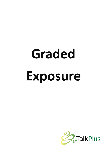# **Graded Exposure**

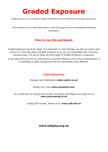# **Graded Exposure**

Graded Exposure is an evidence based intervention for the treatment of anxiety and phobias.

This workbook can be used either alone or with the support of your Psychological Wellbeing Practitioner.

## **How to use this workbook.**

Graded Exposure has three steps. It is important to work through one step at a time, only move on to the next step of Graded Exposure once you are comfortable with using the previous step. It is key to follow all three steps of Graded Exposure in sequence.

It can take some time for an intervention to become effective and to show improvement. It is important to allow enough time for the intervention to be effective.

## **Helpful Resources;**

Exposure and Habituation **cedar.exeter.ac.uk**

## Facing Your Fears **www.anxietybc.com**

#### An Introduction to Coping with Anxiety, by Brosan and Hogan www.cpft.nhs.uk **www.overcoming.co.uk**

Coping with Anxiety, Brosan *et al* **www.cpft.nhs.uk** 

## **www.talkplus.org.uk**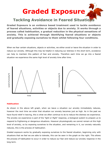# **Graded Exposure**

# **Tackling Avoidance in Feared Situations**

**Graded Exposure is an evidence based treatment used to tackle avoidance of feared situations, activities or objects due to anxiety. It works through a process called** *habituation***, a gradual reduction in the physical sensations of anxiety. This is achieved through identifying feared situations or objects and gradually exposing ourselves to them whilst following four conditions.**

When we fear certain situations, objects or activities, we either avoid or leave the situation in order to reduce our anxiety. Although this may be helpful in reducing our distress in the short term, avoidance can help to maintain this pattern of fear and anxiety. Therefore each time we go into a feared situation we experience the same high level of anxiety time after time.



#### **Habituation**

As shown in the above left graph, when we leave a situation our anxiety immediately reduces, however the next time we enter that situation our anxiety becomes just as high. As in the past we have found relief in leaving, this is what we often continue to do to reduce the distress we experience. The anxiety we experience is part of the '*fight or flight*' response, a biological system to prepare us to respond to frightening or dangerous situations. However physiologically we cannot remain at this high level of anxiety, so by exposing ourselves to the situation, and remaining in it, our anxiety naturally reduces, this is the process of *habituation*.

Graded exposure works by gradually exposing ourselves to the feared situation, beginning only with situations that we feel we are able to tolerate, this can be seen in the graph on the right. This allows the process of habituation to occur in order to reduce our fear and reduce our anxiety response in the long term.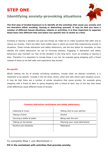# **STEP ONE**

# **Identifying anxiety-provoking situations**



**The first step of Graded Exposure is to identify all the activities that cause you anxiety and are therefore either avoiding, leaving or distracting yourself. It may be that you have a number of different feared situations, objects or activities, it is then important to separate these fears into different lists and select one specific fear to tackle at a time.**

Avoiding or leaving a situation are just two things we might do to make ourselves feel safer and to reduce our anxiety. There are often more subtle ways in which we avoid fully experiencing anxiety in situations. These include distraction and safety behaviours, see the box below for examples, to help identify the subtle behaviours we use to minimise distress. Engaging in distraction and safety behaviours also maintain our fear of the situation in the long term, much as avoiding or leaving it does. Therefore it is important to include these in our list, for example going shopping with a friend instead of alone so we feel safer and experience less anxiety.

#### **Be specific**

Whilst making the list of anxiety provoking situations, include when we distract ourselves, it is important to be specific. Include in the list what, where, when and with whom each situation occurs. It may be that there are a number of similar situations that cause anxiety, for example going shopping with a friend at 8am or going shopping with a friend at 4pm, due to the fact that these small differences cause different levels of anxiety.

| Common distraction techniques and safety behaviours. |
|------------------------------------------------------|
| Sitting next to your partner                         |
| Alcohol                                              |
| Being near the exit                                  |
| Planning your route beforehand                       |
| Medication                                           |
|                                                      |

**To complete Step 1 use** *Worksheet 1***.**

**Fill in the worksheet with activities that provoke anxiety.**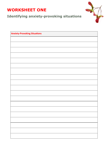

**Identifying anxiety-provoking situations**

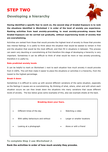# **STEP TWO**

# **Developing a hierarchy**



**Having identified a specific fear to work on, the second step of Graded Exposure is to rank the situations identified in** *Worksheet 1* **in order of the level of anxiety you experience. Ranking activities from least anxiety-provoking, to most anxiety-provoking means that Graded Exposure can be carried out gradually, without experiencing levels of anxiety that are overwhelming.** 

Activities are ranked from those that would provoke the highest level of anxiety to those that provoke less intense feelings. It is useful to think about the situation that would be easiest to remain in first and the situation that would be the most difficult, and then fill in situations in between. This process can seem very daunting or overwhelming at first therefore this stage of developing a hierarchy is very important. Sometimes it can be difficult to think of what would be more or less anxiety-provoking, therefore it is useful to;

#### **Rate predicted anxiety levels**

It can be helpful to mark on Worksheet 1 next to each situation how much anxiety it would provoke from 0-100%. This will then make it easier to place the situations or activities in a hierarchy, from the lowest to the highest percentage.

#### **Break it down**

Sometimes it is difficult to come up with several different variations of the same situation, especially as the feelings it causes are so overwhelming. By thinking of what, where, when and with whom each situation occurs we can then break down the situations into many variations that cause different levels of anxiety. The box below gives some examples of this, also see example sheets at the back.



**To complete Step 2 use** *Worksheet 2***.**

**Rank the activities in order of how much anxiety they provoke.**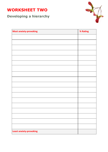**WORKSHEET TWO**

**Developing a hierarchy**



| <b>Most anxiety-provoking</b>  | % Rating |
|--------------------------------|----------|
|                                |          |
|                                |          |
|                                |          |
|                                |          |
|                                |          |
|                                |          |
|                                |          |
|                                |          |
|                                |          |
|                                |          |
|                                |          |
|                                |          |
|                                |          |
|                                |          |
|                                |          |
|                                |          |
|                                |          |
|                                |          |
| <b>Least anxiety-provoking</b> |          |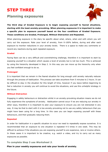# **STEP THREE**

## **Planning exposures**



**The third step of Graded Exposure is to begin exposing yourself to feared situations, starting with the least anxiety-provoking. When planning exposures it is important to make a specific plan to exposure yourself based on the four conditions of Graded Exposure. These conditions are Graded, Prolonged, Without Distraction and Repeated.** 

When planning exposure in the diary be specific about what, where, when and with whom you will carry out the exposure. Rate your level of anxiety, from 0-100% before, during and after each exposure to monitor reductions in your anxiety levels. There is a space to make any comments or record any reactions during each repeated exposure.

#### **Graded**

Facing fears can be a very difficult and overwhelming challenge, therefore it is important to start by exposing yourself to a situation which causes a level of anxiety but is not too much. This is achieved by using the hierarchy developed in Step 2. In this way you can move up the hierarchy only when you feel confident enough to do so.

#### **Prolonged**

It is important that we remain in the feared situation for long enough until anxiety naturally reduces through the process of *habituation*. This process can take anywhere from 5 minutes to 2 hours. It can be difficult to stay in the situation for this length of time, however if you leave before beginning to feel a reduction in anxiety you will continue to avoid the situations, and use this unhelpful strategy in the future.

#### **Without Distraction**

Engaging in safety behaviours or distraction whilst in an anxiety-provoking situation means we do not fully experience the symptoms of anxiety. *Habituation* cannot occur if we are reducing our anxiety in other ways, therefore it is important to plan your exposure to ensure you are not distracted in any way. It may be that to start with it is too anxiety-provoking not to use any safety behaviours that you might have been using for a long time. In this case you can begin exposing yourself with these behaviours, and then gradually reducing them.

#### **Repeated**

In order for *habituation* in a specific situation to occur we need to repeatedly expose ourselves. It is recommended that an exposure to one situation is repeated 4-5 times in one week. This may be difficult to achieve if the situations you are exposing yourself to are expensive, rare or involve others. In these cases it is important to be creative, e.g. watch a video, and try to carry out as many exposures as possible.

#### **To complete Step 3 use** *Worksheet 3***.**

#### **Plan in your weekly exposures and rate your levels of anxiety.**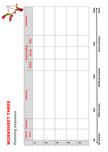# **WORKSHEET THREE WORKSHEET THREE**

# Planning exposure **Planning exposure**



|                         | Date &     | Duration | Exposure            |                  |               | <b>Anxiety Rating</b> |                | <b>Comments</b> |  |
|-------------------------|------------|----------|---------------------|------------------|---------------|-----------------------|----------------|-----------------|--|
|                         | Time       |          |                     |                  | <b>Before</b> | <b>During</b>         | <b>After</b>   |                 |  |
| $\blacktriangleright$   |            |          |                     |                  |               |                       |                |                 |  |
| $\overline{\mathbf{C}}$ |            |          |                     |                  |               |                       |                |                 |  |
| $\boldsymbol{\omega}$   |            |          |                     |                  |               |                       |                |                 |  |
| 4                       |            |          |                     |                  |               |                       |                |                 |  |
| LŊ                      |            |          |                     |                  |               |                       |                |                 |  |
|                         | 0%         |          | 25%                 | 50%              |               |                       | 75%            | 100%            |  |
|                         | No Anxiety |          | <b>Mild Anxiety</b> | Moderate Anxiety |               |                       | Severe Anxiety | Panic           |  |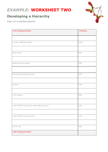# *EXAMPLE:* **WORKSHEET TWO**

# **Developing a hierarchy**

*Fear of crowded places*